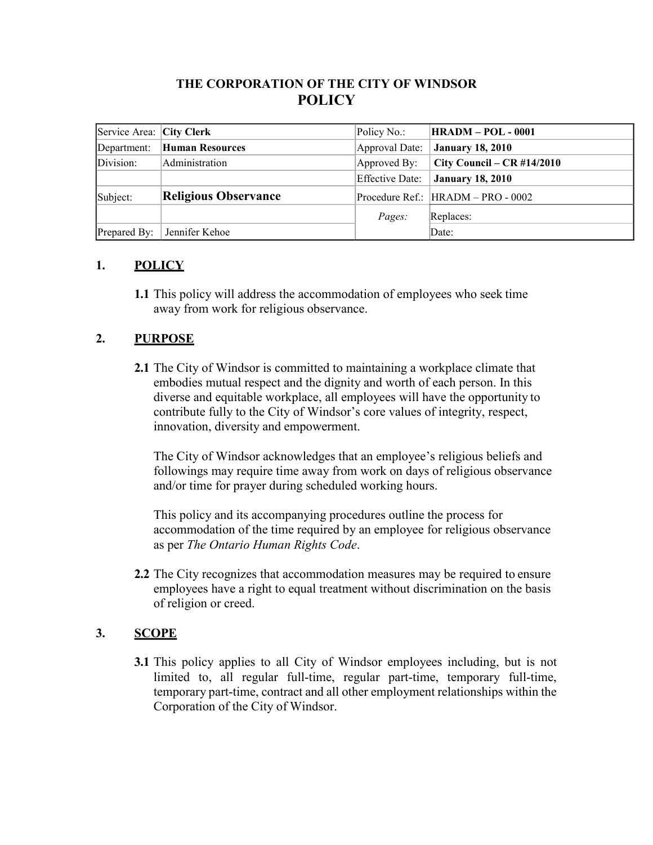# **THE CORPORATION OF THE CITY OF WINDSOR POLICY**

| Service Area: City Clerk |                             | Policy No.:     | <b>HRADM - POL - 0001</b>          |
|--------------------------|-----------------------------|-----------------|------------------------------------|
| Department:              | Human Resources             | Approval Date:  | <b>January 18, 2010</b>            |
| Division:                | Administration              | Approved By:    | City Council – $CR$ #14/2010       |
|                          |                             | Effective Date: | <b>January 18, 2010</b>            |
| Subject:                 | <b>Religious Observance</b> |                 | Procedure Ref.: HRADM - PRO - 0002 |
|                          |                             | Pages:          | Replaces:                          |
| Prepared By:             | Jennifer Kehoe              |                 | Date:                              |

## **1. POLICY**

**1.1** This policy will address the accommodation of employees who seek time away from work for religious observance.

## **2. PURPOSE**

**2.1** The City of Windsor is committed to maintaining a workplace climate that embodies mutual respect and the dignity and worth of each person. In this diverse and equitable workplace, all employees will have the opportunity to contribute fully to the City of Windsor's core values of integrity, respect, innovation, diversity and empowerment.

The City of Windsor acknowledges that an employee's religious beliefs and followings may require time away from work on days of religious observance and/or time for prayer during scheduled working hours.

This policy and its accompanying procedures outline the process for accommodation of the time required by an employee for religious observance as per *The Ontario Human Rights Code*.

**2.2** The City recognizes that accommodation measures may be required to ensure employees have a right to equal treatment without discrimination on the basis of religion or creed.

## **3. SCOPE**

**3.1** This policy applies to all City of Windsor employees including, but is not limited to, all regular full-time, regular part-time, temporary full-time, temporary part-time, contract and all other employment relationships within the Corporation of the City of Windsor.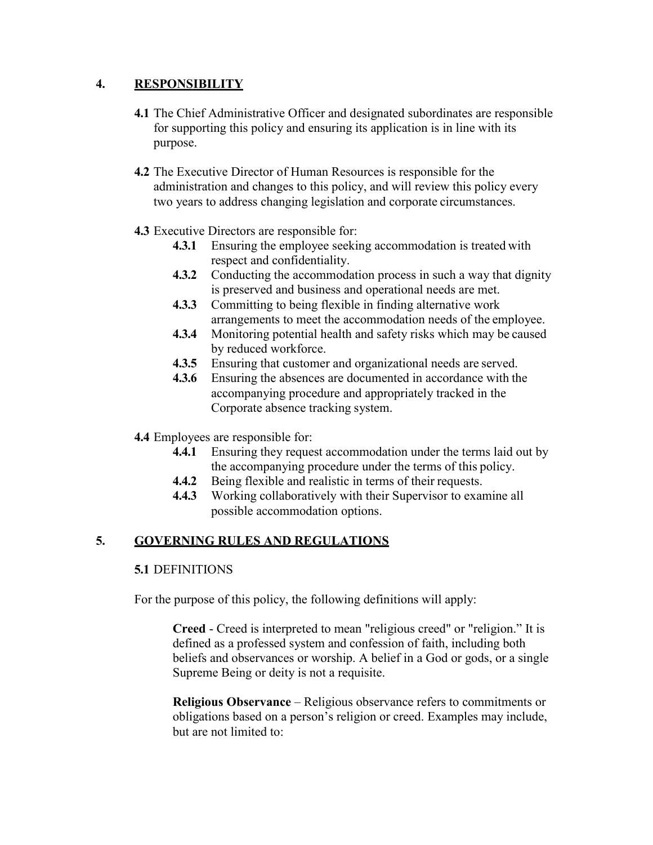## **4. RESPONSIBILITY**

- **4.1** The Chief Administrative Officer and designated subordinates are responsible for supporting this policy and ensuring its application is in line with its purpose.
- **4.2** The Executive Director of Human Resources is responsible for the administration and changes to this policy, and will review this policy every two years to address changing legislation and corporate circumstances.
- **4.3** Executive Directors are responsible for:
	- **4.3.1** Ensuring the employee seeking accommodation is treated with respect and confidentiality.
	- **4.3.2** Conducting the accommodation process in such a way that dignity is preserved and business and operational needs are met.
	- **4.3.3** Committing to being flexible in finding alternative work arrangements to meet the accommodation needs of the employee.
	- **4.3.4** Monitoring potential health and safety risks which may be caused by reduced workforce.
	- **4.3.5** Ensuring that customer and organizational needs are served.
	- **4.3.6** Ensuring the absences are documented in accordance with the accompanying procedure and appropriately tracked in the Corporate absence tracking system.
- **4.4** Employees are responsible for:
	- **4.4.1** Ensuring they request accommodation under the terms laid out by the accompanying procedure under the terms of this policy.
	- **4.4.2** Being flexible and realistic in terms of their requests.
	- **4.4.3** Working collaboratively with their Supervisor to examine all possible accommodation options.

## **5. GOVERNING RULES AND REGULATIONS**

### **5.1** DEFINITIONS

For the purpose of this policy, the following definitions will apply:

**Creed** - Creed is interpreted to mean "religious creed" or "religion." It is defined as a professed system and confession of faith, including both beliefs and observances or worship. A belief in a God or gods, or a single Supreme Being or deity is not a requisite.

**Religious Observance** – Religious observance refers to commitments or obligations based on a person's religion or creed. Examples may include, but are not limited to: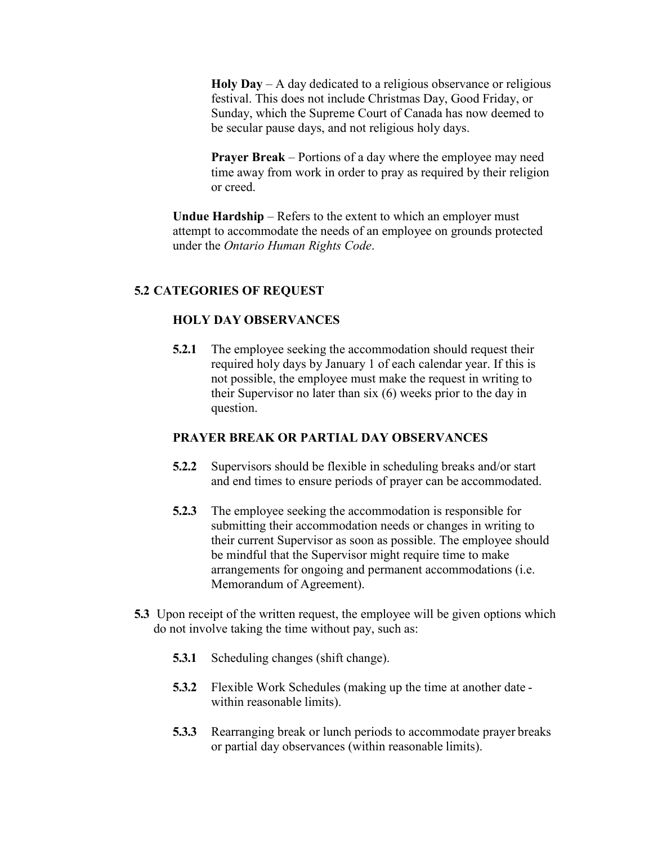**Holy Day** – A day dedicated to a religious observance or religious festival. This does not include Christmas Day, Good Friday, or Sunday, which the Supreme Court of Canada has now deemed to be secular pause days, and not religious holy days.

**Prayer Break** – Portions of a day where the employee may need time away from work in order to pray as required by their religion or creed.

**Undue Hardship** – Refers to the extent to which an employer must attempt to accommodate the needs of an employee on grounds protected under the *Ontario Human Rights Code*.

### **5.2 CATEGORIES OF REQUEST**

#### **HOLY DAY OBSERVANCES**

**5.2.1** The employee seeking the accommodation should request their required holy days by January 1 of each calendar year. If this is not possible, the employee must make the request in writing to their Supervisor no later than six (6) weeks prior to the day in question.

#### **PRAYER BREAK OR PARTIAL DAY OBSERVANCES**

- **5.2.2** Supervisors should be flexible in scheduling breaks and/or start and end times to ensure periods of prayer can be accommodated.
- **5.2.3** The employee seeking the accommodation is responsible for submitting their accommodation needs or changes in writing to their current Supervisor as soon as possible. The employee should be mindful that the Supervisor might require time to make arrangements for ongoing and permanent accommodations (i.e. Memorandum of Agreement).
- **5.3** Upon receipt of the written request, the employee will be given options which do not involve taking the time without pay, such as:
	- **5.3.1** Scheduling changes (shift change).
	- **5.3.2** Flexible Work Schedules (making up the time at another date within reasonable limits).
	- **5.3.3** Rearranging break or lunch periods to accommodate prayer breaks or partial day observances (within reasonable limits).